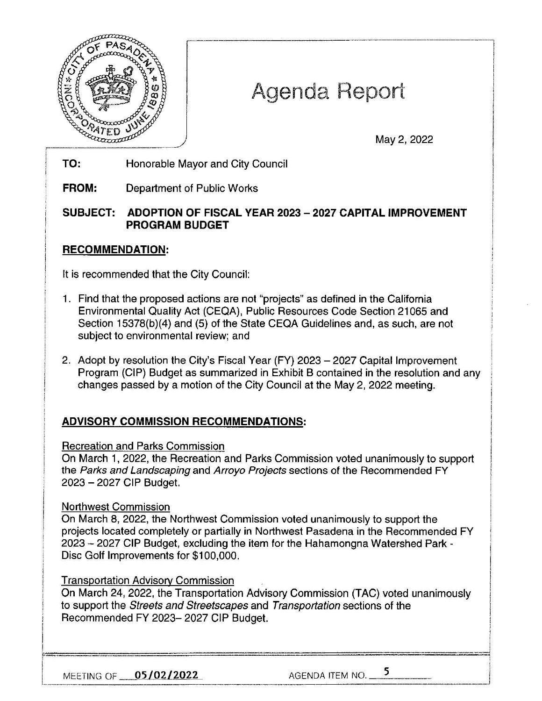

# Agenda Report

May 2, 2022

**TO:**  Honorable Mayor and City Council

**FROM:**  Department of Public Works

## **SUBJECT: ADOPTION OF FISCAL YEAR 2023 - 2027 CAPITAL IMPROVEMENT PROGRAM BUDGET**

## **RECOMMENDATION:**

It is recommended that the City Council:

- 1. Find that the proposed actions are not "projects" as defined in the California Environmental Quality Act (CEQA), Public Resources Code Section 21065 and Section 15378(b)(4) and (5) of the State CEQA Guidelines and, as such, are not subject to environmental review; and
- 2. Adopt by resolution the City's Fiscal Year (FY) 2023 2027 Capital Improvement Program (CIP) Budget as summarized in Exhibit B contained in the resolution and any changes passed by a motion of the City Council at the May 2, 2022 meeting.

# **ADVISORY COMMISSION RECOMMENDATIONS:**

#### Recreation and Parks Commission

On March 1, 2022, the Recreation and Parks Commission voted unanimously to support the Parks and Landscaping and Arroyo Projects sections of the Recommended FY 2023 -2027 CIP Budget.

## Northwest Commission

On March 8, 2022, the Northwest Commission voted unanimously to support the projects located completely or partially in Northwest Pasadena in the Recommended FY 2023 - 2027 CIP Budget, excluding the item for the Hahamongna Watershed Park - Disc Golf Improvements for \$100,000.

## Transportation Advisory Commission

On March 24, 2022, the Transportation Advisory Commission (TAC) voted unanimously to support the Streets and Streetscapes and Transportation sections of the Recommended FY 2023-2027 CIP Budget.

MEETING OF <u>05/02/2022</u> AGENDA ITEM NO. 5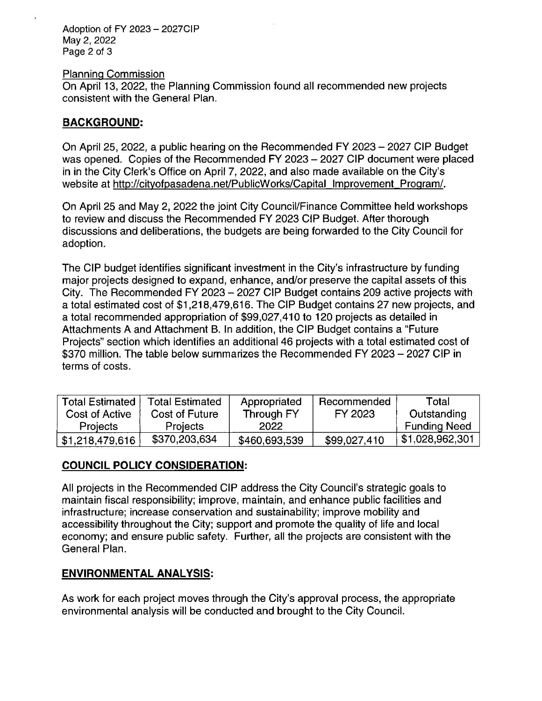Adoption of FY 2023 - 2027CIP May 2, 2022 Page 2 of 3

Planning Commission

On April 13, 2022, the Planning Commission found all recommended new projects consistent with the General Plan.

#### **BACKGROUND:**

On April 25, 2022, a public hearing on the Recommended FY 2023 - 2027 CIP Budget was opened. Copies of the Recommended FY 2023 - 2027 CIP document were placed in in the City Clerk's Office on April 7, 2022, and also made available on the City's website at http://cityofpasadena.net/PublicWorks/Capital Improvement Program/.

On April 25 and May 2, 2022 the joint City Council/Finance Committee held workshops to review and discuss the Recommended FY 2023 CIP Budget. After thorough discussions and deliberations, the budgets are being forwarded to the City Council for adoption.

The CIP budget identifies significant investment in the City's infrastructure by funding major projects designed to expand, enhance, and/or preserve the capital assets of this City. The Recommended FY 2023 - 2027 CIP Budget contains 209 active projects with a total estimated cost of \$1,218,479,616. The CIP Budget contains 27 new projects, and a total recommended appropriation of \$99,027,410 to 120 projects as detailed in Attachments A and Attachment B. In addition, the CIP Budget contains a "Future Projects" section which identifies an additional 46 projects with a total estimated cost of \$370 million. The table below summarizes the Recommended FY 2023 - 2027 CIP in terms of costs.

| <b>Total Estimated</b> | <b>Total Estimated</b> | Appropriated  | Recommended  | Total               |
|------------------------|------------------------|---------------|--------------|---------------------|
| Cost of Active         | Cost of Future         | Through FY    | FY 2023      | Outstanding         |
| <b>Projects</b>        | <b>Projects</b>        | 2022          |              | <b>Funding Need</b> |
| \$1,218,479,616        | \$370,203,634          | \$460,693,539 | \$99,027,410 | \$1,028,962,301     |

## **COUNCIL POLICY CONSIDERATION:**

All projects in the Recommended CIP address the City Council's strategic goals to maintain fiscal responsibility; improve, maintain, and enhance public facilities and infrastructure; increase conservation and sustainability; improve mobility and accessibility throughout the City; support and promote the quality of life and local economy; and ensure public safety. Further, all the projects are consistent with the General Plan.

## **ENVIRONMENTAL ANALYSIS:**

As work for each project moves through the City's approval process, the appropriate environmental analysis will be conducted and brought to the City Council.